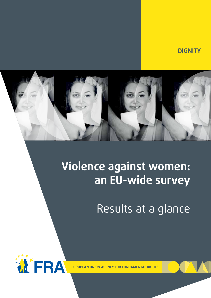**DIGNITY**



# **Violence against women: an EU-wide survey**

Results at a glance

**WFRA** 

**EUROPEAN UNION AGENCY FOR FUNDAMENTAL RIGHTS**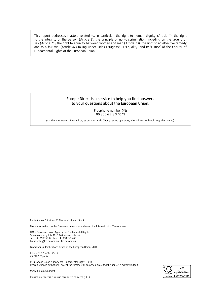This report addresses matters related to, in particular, the right to human dignity (Article 1), the right to the integrity of the person (Article 3), the principle of non-discrimination, including on the ground of sex (Article 21), the right to equality between women and men (Article 23), the right to an effective remedy and to a fair trial (Article 47) falling under Titles I 'Dignity', III 'Equality' and IV 'Justice' of the Charter of Fundamental Rights of the European Union.

#### Europe Direct is a service to help you find answers to your questions about the European Union.

Freephone number (\*): 00 800 6 7 8 9 10 11

(\*) The information given is free, as are most calls (though some operators, phone boxes or hotels may charge you).

Photo (cover & inside): © Shutterstock and iStock

More information on the European Union is available on the Internet ([http://europa.eu\)](http://europa.eu).

FRA – European Union Agency for Fundamental Rights Schwarzenbergplatz 11 – 1040 Vienna – Austria Tel.: +43 158030-0 – Fax: +43 158030-699 Email: [info@fra.europa.eu](mailto:info%40fra.europa.eu?subject=) – <fra.europa.eu>

Luxembourg: Publications Office of the European Union, 2014

ISBN 978-92-9239-379-3 doi:10.2811/60683

© European Union Agency for Fundamental Rights, 2014 Reproduction is authorised, except for commercial purposes, provided the source is acknowledged.

*Printed in Luxembourg*



Printed on process chlorine-free recycled paper (PCF)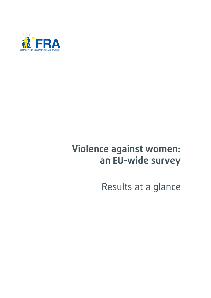

# **Violence against women: an EU-wide survey**

Results at a glance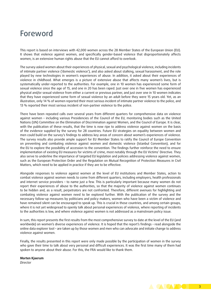## <span id="page-4-0"></span>Foreword

This report is based on interviews with 42,000 women across the 28 Member States of the European Union (EU). It shows that violence against women, and specifically gender-based violence that disproportionately affects women, is an extensive human rights abuse that the EU cannot afford to overlook.

The survey asked women about their experiences of physical, sexual and psychological violence, including incidents of intimate partner violence ('domestic violence'), and also asked about stalking, sexual harassment, and the role played by new technologies in women's experiences of abuse. In addition, it asked about their experiences of violence in childhood. What emerges is a picture of extensive abuse that affects many women's lives, but is systematically under-reported to the authorities. For example, one in 10 women has experienced some form of sexual violence since the age of 15, and one in 20 has been raped. Just over one in five women has experienced physical and/or sexual violence from either a current or previous partner, and just over one in 10 women indicates that they have experienced some form of sexual violence by an adult before they were 15 years old. Yet, as an illustration, only 14 % of women reported their most serious incident of intimate partner violence to the police, and 13 % reported their most serious incident of non-partner violence to the police.

There have been repeated calls over several years from different quarters for comprehensive data on violence against women – including various Presidencies of the Council of the EU, monitoring bodies such as the United Nations (UN) Committee on the Elimination of Discrimination against Women, and the Council of Europe. It is clear, with the publication of these results, that the time is now ripe to address violence against women on the basis of the evidence supplied by the survey for 28 countries. Future EU strategies on equality between women and men could build on the survey's findings to address key areas of concern about women's experiences of violence. The survey results also provide ample support for EU Member States to ratify the Council of Europe Convention on preventing and combating violence against women and domestic violence (Istanbul Convention), and for the EU to explore the possibility of accession to the convention. The findings further reinforce the need to ensure implementation of existing EU measures for victims of crime, most notably through the EU Victims' Directive. They also serve to underline the importance of targeted EU legislation and policies addressing violence against women, such as the European Protection Order and the Regulation on Mutual Recognition of Protection Measures in Civil Matters, which need to be applied in practice if they are to be effective.

Alongside responses to violence against women at the level of EU institutions and Member States, action to combat violence against women needs to come from different quarters, including employers, health professionals and internet service providers – to name just a few. This is particularly important because many women do not report their experiences of abuse to the authorities, so that the majority of violence against women continues to be hidden and, as a result, perpetrators are not confronted. Therefore, different avenues for highlighting and combating violence against women need to be explored further. With the publication of the survey and the necessary follow-up measures by politicians and policy makers, women who have been a victim of violence and have remained silent can be encouraged to speak up. This is crucial in those countries, and among certain groups, where it is not yet widespread to openly talk about personal experiences of violence, where reporting of incidents to the authorities is low, and where violence against women is not addressed as a mainstream policy issue.

In sum, this report presents the first results from the most comprehensive survey to date at the level of the EU (and worldwide) on women's diverse experiences of violence. It is hoped that the report's findings – read alongside the online data explorer tool – are taken up by those women and men who can advocate and initiate change to address violence against women.

Finally, the results presented in this report were only made possible by the participation of women in the survey who gave their time to talk about very personal and difficult experiences. It was the first time many of them had spoken to anyone about their abuse. For this, the FRA would like to thank them.

**Morten Kjaerum**  *Director*

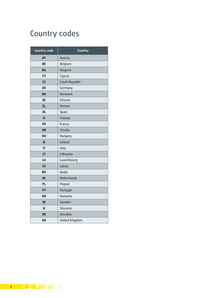## Country codes

| <b>Country code</b> | Country        |  |  |
|---------------------|----------------|--|--|
| <b>AT</b>           | Austria        |  |  |
| <b>BE</b>           | Belgium        |  |  |
| BG                  | Bulgaria       |  |  |
| <b>CY</b>           | Cyprus         |  |  |
| <b>CZ</b>           | Czech Republic |  |  |
| DE                  | Germany        |  |  |
| <b>DK</b>           | Denmark        |  |  |
| EE                  | Estonia        |  |  |
| <b>EL</b>           | Greece         |  |  |
| ES                  | Spain          |  |  |
| FI                  | Finland        |  |  |
| <b>FR</b>           | France         |  |  |
| <b>HR</b>           | Croatia        |  |  |
| HU                  | Hungary        |  |  |
| IE                  | Ireland        |  |  |
| IT                  | Italy          |  |  |
| LT                  | Lithuania      |  |  |
| LU                  | Luxembourg     |  |  |
| LV                  | Latvia         |  |  |
| MT                  | Malta          |  |  |
| <b>NL</b>           | Netherlands    |  |  |
| <b>PL</b>           | Poland         |  |  |
| PT                  | Portugal       |  |  |
| <b>RO</b>           | Romania        |  |  |
| <b>SE</b>           | Sweden         |  |  |
| SI                  | Slovenia       |  |  |
| <b>SK</b>           | Slovakia       |  |  |
| UK                  | United Kingdom |  |  |

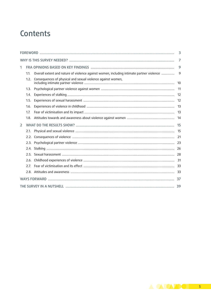## Contents

|   | 3    |                                                                                          |       |  |  |  |  |
|---|------|------------------------------------------------------------------------------------------|-------|--|--|--|--|
|   |      |                                                                                          |       |  |  |  |  |
| 1 |      |                                                                                          | 9     |  |  |  |  |
|   | 1.1. | Overall extent and nature of violence against women, including intimate partner violence | 9     |  |  |  |  |
|   | 1.2. | Consequences of physical and sexual violence against women,                              | 10    |  |  |  |  |
|   | 1.3. |                                                                                          | 11    |  |  |  |  |
|   | 1.4. |                                                                                          | 12    |  |  |  |  |
|   | 1.5. |                                                                                          | 12    |  |  |  |  |
|   | 1.6. |                                                                                          | 13    |  |  |  |  |
|   | 1.7. |                                                                                          | $-13$ |  |  |  |  |
|   | 1.8. |                                                                                          | 14    |  |  |  |  |
| 2 |      |                                                                                          | 15    |  |  |  |  |
|   | 2.1. |                                                                                          | 15    |  |  |  |  |
|   | 2.2. |                                                                                          | 21    |  |  |  |  |
|   | 2.3. |                                                                                          |       |  |  |  |  |
|   | 2.4. |                                                                                          |       |  |  |  |  |
|   | 2.5. |                                                                                          |       |  |  |  |  |
|   | 2.6. |                                                                                          |       |  |  |  |  |
|   | 2.7  |                                                                                          |       |  |  |  |  |
|   |      |                                                                                          |       |  |  |  |  |
|   |      |                                                                                          | 37    |  |  |  |  |
|   |      |                                                                                          | 39    |  |  |  |  |

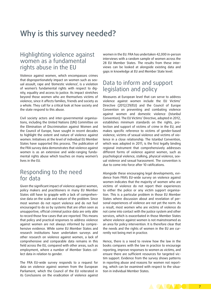## <span id="page-8-0"></span>Why is this survey needed?

### Highlighting violence against women as a fundamental rights abuse in the EU

Violence against women, which encompasses crimes that disproportionately impact on women such as sexual assault, rape and 'domestic violence', is a violation of women's fundamental rights with respect to dignity, equality and access to justice. Its impact stretches beyond those women who are themselves victims of violence, since it affects families, friends and society as a whole. They call for a critical look at how society and the state respond to this abuse.

Civil society actors and inter-governmental organisations, including the United Nations (UN) Committee on the Elimination of Discrimination against Women and the Council of Europe, have sought in recent decades to highlight the extent and nature of violence against women. Initiatives at the level of individual EU Member States have supported this process. The publication of the FRA survey data demonstrates that violence against women is as an extensive and wide-ranging fundamental rights abuse which touches on many women's lives in the EU.

### Responding to the need for data

Given the significant impact of violence against women, policy makers and practitioners in many EU Member States still have to grapple with a lack of comprehensive data on the scale and nature of the problem. Since most women do not report violence and do not feel encouraged to do so by systems that are often seen as unsupportive, official criminal justice data are only able to record those few cases that are reported. This means that policy and practical responses to address violence against women are not always informed by comprehensive evidence. While some EU Member States and research institutions have undertaken surveys and other research on violence against women, a lack of comprehensive and comparable data remains in this field across the EU, compared with other areas, such as employment, where a number of Member States collect data in relation to gender.

The FRA EU-wide survey responds to a request for data on violence against women from the European Parliament, which the Council of the EU reiterated in its Conclusions on the eradication of violence against

women in the EU. FRA has undertaken 42,000 in-person interviews with a random sample of women across the 28 EU Member States. The results from these interviews can be looked at alongside existing data and gaps in knowledge at EU and Member State level.

## Data to inform and support legislation and policy

Measures at European level that can serve to address violence against women include the EU Victims' Directive (2012/29/EU) and the Council of Europe Convention on preventing and combating violence against women and domestic violence (Istanbul Convention). The EU Victims' Directive, adopted in 2012, establishes minimum standards on the rights, protection and support of victims of crime in the EU, and makes specific reference to victims of gender-based violence, victims of sexual violence and victims of violence in a close relationship. The Istanbul Convention, which was adopted in 2011, is the first legally binding regional instrument that comprehensively addresses different forms of violence against women, such as psychological violence, stalking, physical violence, sexual violence and sexual harassment. The convention is due to come into force after 10 ratifications.

Alongside these encouraging legal developments, evidence from FRA's EU-wide survey on violence against women indicates that the majority of women who are victims of violence do not report their experiences to either the police or any victim support organisation. This is a particular problem in those EU Member States where discussion about and revelation of personal experiences of violence are not yet the norm. As a result, most women who are victims of violence do not come into contact with the justice system and other services, which is exacerbated in those Member States where violence against women is not mainstreamed as an area for policy intervention. It is therefore clear that the needs and the rights of women in the EU are currently not being met in practice.

Hence, there is a need to review how the law in the books compares with the law in practice to encourage reporting, improve responses to women as victims, and ensure there are sufficient resources for targeted victim support. Evidence from the survey shows patterns in reporting abuse and reasons for women not reporting, which can be examined with respect to the situation in individual Member States.

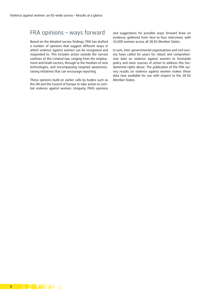### FRA opinions – ways forward

Based on the detailed survey findings, FRA has drafted a number of opinions that suggest different ways in which violence against women can be recognised and responded to. This includes action outside the narrow confines of the criminal law, ranging from the employment and heath sectors, through to the medium of new technologies, and encompassing targeted awarenessraising initiatives that can encourage reporting.

These opinions build on earlier calls by bodies such as the UN and the Council of Europe to take action to combat violence against women. Uniquely, FRA's opinions

and suggestions for possible ways forward draw on evidence gathered from face-to-face interviews with 42,000 women across all 28 EU Member States.

In sum, inter-governmental organisations and civil society have called for years for robust and comprehensive data on violence against women to formulate policy and steer courses of action to address this fundamental rights abuse. The publication of the FRA survey results on violence against women makes these data now available for use with respect to the 28 EU Member States.

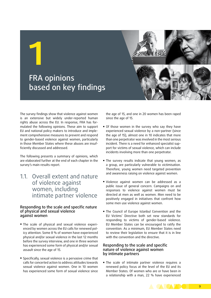## FRA opinions based on key findings

<span id="page-10-0"></span>**1**

The survey findings show that violence against women is an extensive but widely under-reported human rights abuse across the EU. In response, FRA has formulated the following opinions. These aim to support EU and national policy makers to introduce and implement comprehensive measures to prevent and respond to gender-based violence against women, particularly in those Member States where these abuses are insufficiently discussed and addressed.

The following presents a summary of opinions, which are elaborated further at the end of each chapter in the survey's main results report.

## 11. Overall extent and nature of violence against women, including intimate partner violence

#### Responding to the scale and specific nature of physical and sexual violence against women

- The scale of physical and sexual violence experienced by women across the EU calls for renewed policy attention. Some 8 % of women have experienced physical and/or sexual violence in the last 12 months before the survey interview, and one in three women has experienced some form of physical and/or sexual assault since the age of 15.
- **•** Specifically, sexual violence is a pervasive crime that calls for concerted action to address attitudes towards sexual violence against women. One in 10 women has experienced some form of sexual violence since

the age of 15, and one in 20 women has been raped since the age of 15.

- Of those women in the survey who say they have experienced sexual violence by a non-partner (since the age of 15), almost one in 10 indicates that more than one perpetrator was involved in the most serious incident. There is a need for enhanced specialist support for victims of sexual violence, which can include incidents involving more than one perpetrator.
- **.** The survey results indicate that young women, as a group, are particularly vulnerable to victimisation. Therefore, young women need targeted prevention and awareness raising on violence against women.
- Violence against women can be addressed as a public issue of general concern. Campaigns on and responses to violence against women must be directed at men as well as women. Men need to be positively engaged in initiatives that confront how some men use violence against women.
- **The Council of Europe Istanbul Convention and the** EU Victims' Directive both set new standards for responding to victims of gender-based violence. EU Member States can be encouraged to ratify the convention. As a minimum, EU Member States need to review their legislation to ensure that it is in line with the convention and the directive.

#### Responding to the scale and specific nature of violence against women by intimate partners

**The scale of intimate partner violence requires a** renewed policy focus at the level of the EU and its Member States. Of women who are or have been in a relationship with a man, 22 % have experienced

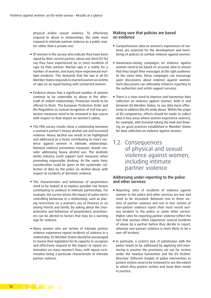<span id="page-11-0"></span>physical and/or sexual violence. To effectively respond to abuse in relationships, the state must respond to intimate partner violence as a public matter rather than a private one.

- **Of women in the survey who indicate they have been** raped by their current partner, about one third (31 %) say they have experienced six or more incidents of rape by their partner. Marital rape is a reality for a number of women, and many have experienced multiple incidents. This demands that the law in all EU Member States responds to married women as victims of rape on an equal footing with unmarried women.
- **Exidence shows that a significant number of women** continue to be vulnerable to abuse in the aftermath of violent relationships. Protection needs to be offered to them. The European Protection Order and the Regulation on mutual recognition of civil law protection measures need to be reviewed in due course with respect to their impact on women's safety.
- **.** The FRA survey results show a relationship between a woman's partner's heavy alcohol use and increased violence. Heavy alcohol use needs to be highlighted and addressed as a factor contributing to men's violence against women in intimate relationships. National violence prevention measures should consider addressing heavy alcohol use. The alcoholic drinks industry could support such measures when promoting responsible drinking. At the same time, consideration could be given to the systematic collection of data by the police on alcohol abuse with respect to incidents of domestic violence.
- **The characteristics and behaviour of perpetrators** need to be looked at to explore possible risk factors contributing to violence in intimate partnerships. For example, the survey shows the impact of some men's controlling behaviour in a relationship, such as placing restrictions on a woman's use of finances or on seeing friends and family. By asking about the characteristics and behaviour of perpetrators, practitioners can be alerted to factors that may be a warning sign for violence.
- Many women who are victims of intimate partner violence experience repeat incidents of violence in a relationship. EU Member States should be encouraged to review their legislation for its capacity to recognise and effectively respond to the impact of repeat victimisation on many women's lives, with repeat victimisation being a particular characteristic of intimate partner violence.

#### Making sure that policies are based on evidence

- Comprehensive data on women's experiences of violence are essential for the development and monitoring of policies to combat violence against women.
- **EXECT:** Awareness-raising campaigns on violence against women need to be based on accurate data to ensure that they target their messages at the right audience. At the same time, these campaigns can encourage open discussions about violence against women. Such discussions can ultimately enhance reporting to the authorities and victim support services.
- **.** There is a clear need to improve and harmonise data collection on violence against women, both in and between EU Member States, to use data more effectively to address this EU-wide abuse. Within the scope of EU competence, efforts should be made to collect data in key areas where women experience violence, for example, with Eurostat taking the lead and drawing on good practices established in Member States for data collection on violence against women.
- 1.2. Consequences of physical and sexual violence against women, including intimate partner violence

#### Addressing under-reporting to the police and other services

- Reporting rates of incidents of violence against women to the police and other services are low and need to be increased. Between one in three victims of partner violence and one in four victims of non-partner violence report their most recent serious incident to the police or some other service. Higher rates for reporting partner violence reflect the fact that women often experience several incidents of abuse by a partner before they decide to report, whereas non-partner violence is more likely to be a one-off incident.
- In particular, a victim's lack of satisfaction with the police needs to be addressed by applying and monitoring in practice the provisions set out for victims under the Istanbul Convention and the EU Victims' Directive. Different models of police intervention to protect victims need to be reviewed to see the extent to which they protect victims and meet their needs in practice.

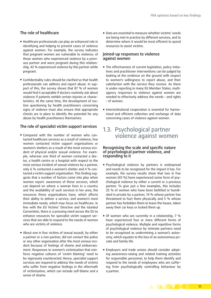#### <span id="page-12-0"></span>The role of healthcare

- Healthcare professionals can play an enhanced role in identifying and helping to prevent cases of violence against women. For example, the survey indicates that pregnant women are vulnerable to violence; of those women who experienced violence by a previous partner and were pregnant during this relationship, 42 % experienced violence by this partner while pregnant.
- Confidentiality rules should be clarified so that health professionals can address and report abuse. In support of this, the survey shows that 87 % of women would find it acceptable if doctors routinely ask about violence if patients exhibit certain injuries or characteristics. At the same time, the development of routine questioning by health practitioners concerning signs of violence must also ensure that appropriate checks are in place to identify the potential for any abuse by health practitioners themselves.

#### The role of specialist victim support services

- Compared with the number of women who contacted healthcare services as a result of violence, few women contacted victim support organisations or women's shelters as a result of the most serious incident of physical and/or sexual violence. For example, whereas one third of women contacted a doctor, a health centre or a hospital with respect to the most serious incident of sexual violence by a partner, only 6 % contacted a women's shelter and 4 % contacted a victim support organisation. This finding suggests that a number of factors come into play when women report: awareness of these services, which can depend on where a woman lives in a country and the availability of such services in her area; the resources these organisations have, which affects their ability to deliver a service; and women's most immediate needs, which may focus on healthcare. In line with the EU Victims' Directive and the Istanbul Convention, there is a pressing need across the EU to enhance resources for specialist victim support services that are able to respond to the needs of women who are victims of violence.
- About one in four victims of sexual assault, by either a partner or a non-partner, did not contact the police or any other organisation after the most serious incident because of feelings of shame and embarrassment. Responses to women's victimisation that reinforce negative cultures of 'victim blaming' need to be vigorously counteracted. Hence, specialist support services are required to address the needs of victims who suffer from negative feelings in the aftermath of victimisation, which can include self-blame and a sense of shame.

■ Data are essential to measure whether victims' needs are being met in practice by different services, and to determine where it would be most efficient to spend resources to assist victims.

#### Joined-up responses to violence against women

- The effectiveness of current legislation, policy initiatives and practitioner interventions can be judged by looking at the evidence on the ground with respect to women's willingness to report abuse, and their satisfaction with the service they receive. As there is under-reporting in many EU Member States, multiagency responses to violence against women are needed to effectively address the needs – and rights – of women.
- Interinstitutional cooperation is essential for harmonised and efficient collection and exchange of data concerning cases of violence against women.

## 1.3. Psychological partner violence against women

#### Recognising the scale and specific nature of psychological partner violence, and responding to it

- Psychological violence by partners is widespread and needs to be recognised for the impact it has. For example, the survey results show that two in five women (43 %) have experienced some form of psychological violence by either a current or a previous partner. To give just a few examples, this includes 25 % of women who have been belittled or humiliated in private by a partner, 14 % whose partner has threatened to hurt them physically and 5 % whose partner has forbidden them to leave the house, taken away their car keys or locked them up.
- Of women who are currently in a relationship, 7 % have experienced four or more different forms of psychological violence. Multiple and repetitive forms of psychological violence by intimate partners need to be recognised as undermining a woman's autonomy, which equates to the loss of an autonomous private and family life.
- Employers and trade unions should consider adopting awareness-raising and related training activities for responsible personnel, to help them identify and respond to the needs of employees who are suffering from psychologically controlling behaviour by a partner.

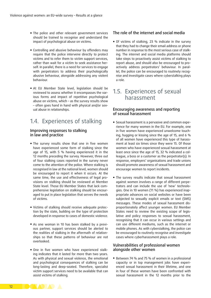- <span id="page-13-0"></span>**The police and other relevant government services** should be trained to recognise and understand the impact of psychological abuse on victims.
- **E** Controlling and abusive behaviour by offenders may require that the police intervene directly to protect victims and to refer them to victim support services, rather than wait for a victim to seek assistance herself. In parallel, there is a need for services to engage with perpetrators to address their psychologically abusive behaviour, alongside addressing any violent behaviour.
- **At EU Member State level, legislation should be** reviewed to assess whether it encompasses the various forms and impact of repetitive psychological abuse on victims, which – as the survey results show – often goes hand in hand with physical and/or sexual abuse in relationships.

## 1.4. Experiences of stalking

#### Improving responses to stalking in law and practice

- **.** The survey results show that one in five women have experienced some form of stalking since the age of 15, with 5 % having experienced it in the 12 months preceding the survey. However, three out of four stalking cases reported in the survey never come to the attention of the police. Where stalking is recognised in law at the national level, women should be encouraged to report it when it occurs. At the same time, the use and effectiveness of legal provisions on stalking should be reviewed at Member State level. Those EU Member States that lack comprehensive legislation on stalking should be encouraged to put in place legislation that serves the needs of victims.
- Victims of stalking should receive adequate protection by the state, building on the type of protection developed in response to cases of domestic violence.
- As one woman in 10 has been stalked by a previous partner, support services should be alerted to the realities of stalking in the aftermath of relationships so that these patterns of behaviour are not overlooked.
- **.** One in five women who have experienced stalking indicates that it lasted for more than two years. As with physical and sexual violence, the emotional and psychological consequences of stalking can be long-lasting and deep-seated. Therefore, specialist victim support services need to be available that can assist victims of stalking.

#### The role of the internet and social media

■ Of victims of stalking, 23 % indicate in the survey that they had to change their email address or phone number in response to the most serious case of stalking. The internet and social media platforms should take steps to proactively assist victims of stalking to report abuse, and should also be encouraged to proactively address perpetrators' behaviour. In parallel, the police can be encouraged to routinely recognise and investigate cases where cyberstalking plays a role.

### 1.5. Experiences of sexual harassment

#### Encouraging awareness and reporting of sexual harassment

- Sexual harassment is a pervasive and common experience for many women in the EU. For example, one in five women have experienced unwelcome touching, hugging or kissing since the age of 15, and 6 % of all women have experienced this type of harassment at least six times since they were 15. Of those women who have experienced sexual harassment at least once since the age of 15, 32 % indicated a colleague, a boss or a customer as the perpetrator(s). In response, employers' organisations and trade unions should promote awareness of sexual harassment and encourage women to report incidents.
- **The survey results indicate that sexual harassment** against women involves a range of different perpetrators and can include the use of 'new' technologies. One in 10 women (11 %) has experienced inappropriate advances on social websites or have been subjected to sexually explicit emails or text (SMS) messages. These modes of sexual harassment disproportionately affect younger women. EU Member States need to review the existing scope of legislative and policy responses to sexual harassment, recognising that it can occur in various settings and can use different mediums, such as the internet or mobile phones. As with cyberstalking, the police can be encouraged to routinely recognise and investigate cases where cyberharassment plays a role.

#### Vulnerabilities of professional women alongside other women

■ Between 74 % and 75 % of women in a professional capacity or in top management jobs have experienced sexual harassment in their lifetime, and one in four of these women have been confronted with sexual harassment in the 12 months prior to the

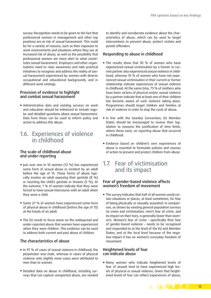<span id="page-14-0"></span>survey. Recognition needs to be given to the fact that professional women in management and other top positions are at risk of sexual harassment. This could be for a variety of reasons, such as their exposure to work environments and situations where they are at increased risk of abuse, as well as the possibility that professional women are more alert to what constitutes sexual harassment. Employers and other organisations need to raise awareness and take practical initiatives to recognise and address the reality of sexual harassment experienced by women with diverse occupational and educational backgrounds, and in different work settings.

#### Provision of evidence to highlight and combat sexual harassment

**E** Administrative data and existing surveys on work and education should be enhanced to include regular and detailed questions about sexual harassment. Data from these can be used to inform policy and action to address this abuse.

## 1.6. Experiences of violence in childhood

#### The scale of childhood abuse and under-reporting

- **■** Just over one in 10 women (12 %) has experienced some form of sexual abuse or incident by an adult before the age of 15. These forms of abuse typically involve an adult exposing their genitals (8 %) or touching the child's genitals or breasts (5 %). At the extreme, 1 % of women indicate that they were forced to have sexual intercourse with an adult when they were a child.
- Some 27 % of women have experienced some form of physical abuse in childhood (before the age of 15) at the hands of an adult.
- The EU needs to focus anew on the widespread and under-reported abuse that women have experienced when they were children. This evidence can be used to address both current and past abuse of children.

#### The characteristics of abuse

- In 97 % of cases of sexual violence in childhood, the perpetrator was male, whereas in cases of physical violence only slightly more cases were attributed to men than to women.
- Detailed data on abuse in childhood, including surveys that can capture unreported abuse, are needed

to identify and corroborate evidence about the characteristics of abuse, which can be used to target interventions to prevent abuse, protect victims and punish offenders.

#### Responding to abuse in childhood

- $\blacksquare$  The results show that 30 % of women who have experienced sexual victimisation by a former or current partner also experienced sexual violence in childhood, whereas 10 % of women who have not experienced sexual victimisation in their current or former relationship indicate experiences of sexual violence in childhood. At the same time, 73 % of mothers who have been victims of physical and/or sexual violence by a partner indicate that at least one of their children has become aware of such violence taking place. Programmes should target children and families at risk of violence in order to stop the cycle of abuse.
- **.** In line with the Istanbul Convention, EU Member States should be encouraged to review their legislation to reassess the justification of time limits, where these exist, on reporting abuse that occurred in childhood.
- Evidence based on children's own experiences of abuse is essential to formulate policies and courses of action to prevent and protect children from abuse.

### 1.7. Fear of victimisation and its impact

#### Fear of gender-based violence affects women's freedom of movement

▪ The survey indicates that half of all women avoid certain situations or places, at least sometimes, for fear of being physically or sexually assaulted. In comparison, as shown by existing general population surveys on crime and victimisation, men's fear of crime, and its impact on their lives, is generally lower than women's. Women's fear of crime – specifically their fear of gender-based violence – needs to be recognised and responded to at the level of the EU and Member States, and at the local level because of the negative impact it has on women's everyday freedom of movement.

#### Heightened levels of fear can indicate abuse

■ Many women who indicate heightened levels of fear of assault tend to have experienced high levels of physical or sexual violence. Given that heightened levels of fear can reflect experiences of abuse,

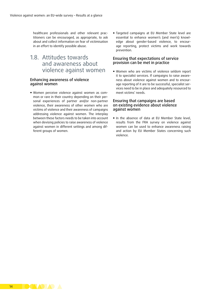<span id="page-15-0"></span>healthcare professionals and other relevant practitioners can be encouraged, as appropriate, to ask about and collect information on fear of victimisation in an effort to identify possible abuse.

1.8. Attitudes towards and awareness about violence against women

#### Enhancing awareness of violence against women

▪ Women perceive violence against women as common or rare in their country depending on their personal experiences of partner and/or non-partner violence, their awareness of other women who are victims of violence and their awareness of campaigns addressing violence against women. The interplay between these factors needs to be taken into account when devising policies to raise awareness of violence against women in different settings and among different groups of women.

**Example 1** Targeted campaigns at EU Member State level are essential to enhance women's (and men's) knowledge about gender-based violence, to encourage reporting, protect victims and work towards prevention.

#### Ensuring that expectations of service provision can be met in practice

▪ Women who are victims of violence seldom report it to specialist services. If campaigns to raise awareness about violence against women and to encourage reporting of it are to be successful, specialist services need to be in place and adequately resourced to meet victims' needs.

#### Ensuring that campaigns are based on existing evidence about violence against women

**.** In the absence of data at EU Member State level, results from the FRA survey on violence against women can be used to enhance awareness raising and action by EU Member States concerning such violence.

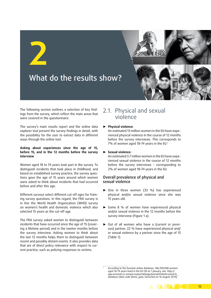<span id="page-16-0"></span>

The following section outlines a selection of key findings from the survey, which reflect the main areas that were covered in the questionnaire.

The survey's main results report and the online data explorer tool present the survey findings in detail, with the possibility for the user to extract data in different ways through the online tool.

#### **Asking about experiences since the age of 15, before 15, and in the 12 months before the survey interview**

Women aged 18 to 74 years took part in the survey. To distinguish incidents that took place in childhood, and based on established survey practice, the survey questions gave the age of 15 years around which women were asked to think about incidents that had occurred before and after this age.

Different surveys select different cut-off ages for framing survey questions. In this regard, the FRA survey is in line the World Health Organization (WHO) survey on women's health and domestic violence which also selected 15 years as the cut-off age.

The FRA survey asked women to distinguish between incidents that have occurred since the age of 15 (covering a lifetime period) and in the twelve months before the survey interview. Asking women to think about the last 12 months helps them to distinguish between recent and possibly distant events. It also provides data that are of direct policy relevance with respect to current practice, such as policing responses to victims.

## 2.1. Physical and sexual violence

#### ► **Physical violence**:

An estimated 13 million women in the EU have experienced physical violence in the course of 12 months before the survey interviews. This corresponds to 7% of women aged 18–74 years in the EU.1

#### ► **Sexual violence:**

An estimated 3.7 million women in the EU have experienced sexual violence in the course of 12 months before the survey interviews – corresponding to 2% of women aged 18–74 years in the EU.

#### Overall prevalence of physical and sexual violence

- ► One in three women (33 %) has experienced physical and/or sexual violence since she was 15 years old.
- ► Some 8 % of women have experienced physical and/or sexual violence in the 12 months before the survey interview (Figure 1 a).
- ► Out of all women who have a (current or previous) partner, 22 % have experienced physical and/ or sexual violence by a partner since the age of 15 (Table 1).

<sup>1</sup> According to the Eurostat online database, 186,590,848 women aged 18-74 years lived in the EU-28 on 1 January, see: [http://](http://epp.eurostat.ec.europa.eu/portal/page/portal/statistics/search_database) [epp.eurostat.ec.europa.eu/portal/page/portal/statistics/search\\_](http://epp.eurostat.ec.europa.eu/portal/page/portal/statistics/search_database) [database](http://epp.eurostat.ec.europa.eu/portal/page/portal/statistics/search_database) (data code demo\_pjan, extracted on 16 August 2013).

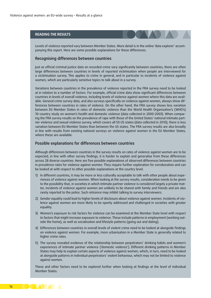#### **READING THE RESULTS**

Levels of violence reported vary between Member States. More detail is in the online 'data explorer' accompanying this report. Here are some possible explanations for these differences.

#### Recognising differences between countries

Just as official criminal justice data on recorded crime vary significantly between countries, there are often large differences between countries in levels of reported victimisation when people are interviewed for a victimisation survey. This applies to crime in general, and in particular to incidents of violence against women, which are particularly sensitive topics to talk about in a survey.

Variations between countries in the prevalence of violence reported in the FRA survey need to be looked at in relation to a number of factors. For example, official crime data show significant differences between countries in levels of overall violence, including levels of violence against women where this data are available. General crime survey data, and also surveys specifically on violence against women, always show differences between countries in rates of violence. On the other hand, the FRA survey shows less variation between EU Member States in rates of domestic violence than the World Health Organization's (WHO's) 10-country study on women's health and domestic violence (data collected in 2000–2003). When comparing the FRA survey results on the prevalence of rape with those of the United States' national intimate partner violence and sexual violence survey, which covers all 50 US states (data collected in 2010), there is less variation between EU Member States than between the US states. The FRA survey results are also broadly in line with results from existing national surveys on violence against women in the EU Member States, where these are available.

#### Possible explanations for differences between countries

Although differences between countries in the survey results on rates of violence against women are to be expected, in line with other survey findings, it is harder to explain and generalise from these differences across 28 diverse countries. Here are five possible explanations of observed differences between countries in prevalence rates for violence against women. They require further exploration for corroboration and can be looked at with respect to other possible explanations at the country level.

- 1) In different countries, it may be more or less culturally acceptable to talk with other people about experiences of violence against women. When looking at the survey results, consideration needs to be given to the possibility that, in societies in which intimate partner violence is considered largely a private matter, incidents of violence against women are unlikely to be shared with family and friends and are also rarely reported to the police. Such reticence may inhibit talking to survey interviewers.
- 2) Gender equality could lead to higher levels of disclosure about violence against women. Incidents of violence against women are more likely to be openly addressed and challenged in societies with greater equality.
- 3) Women's exposure to risk factors for violence can be examined at the Member State level with respect to factors that might increase exposure to violence. These include patterns in employment (working outside the home), as well as socialisation and lifestyle patterns (going out and dating).
- 4) Differences between countries in overall levels of violent crime need to be looked at alongside findings on violence against women. For example, more urbanisation in a Member State is generally related to higher crime rates.
- 5) The survey revealed evidence of the relationship between perpetrators' drinking habits and women's experiences of intimate partner violence ('domestic violence'). Different drinking patterns in Member States may help to explain certain aspects of violence against women, which, in turn, need to be looked at alongside patterns in individual perpetrators' violent behaviour, which may not be limited to violence against women.

These and other factors need to be explored further when looking at findings at the level of individual Member States.

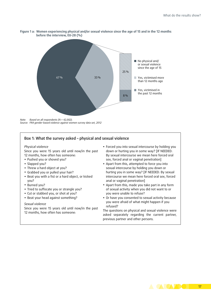

**Figure 1 a: Women experiencing physical and/or sexual violence since the age of 15 and in the 12 months before the interview, EU-28 (%)**

*Note: Based on all respondents (N = 42,002). Source: FRA gender-based violence against women survey data set, 2012*

#### Box 1: What the survey asked – physical and sexual violence

#### *Physical violence*

Since you were 15 years old until now/in the past 12 months, how often has someone:

- Pushed you or shoved you?
- Slapped you?
- Threw a hard object at you?
- Grabbed you or pulled your hair?
- Beat you with a fist or a hard object, or kicked you?
- Burned you?
- Tried to suffocate you or strangle you?
- Cut or stabbed you, or shot at you?
- Beat your head against something?

#### *Sexual violence*

Since you were 15 years old until now/in the past 12 months, how often has someone:

- Forced you into sexual intercourse by holding you down or hurting you in some way? [IF NEEDED: By sexual intercourse we mean here forced oral sex, forced anal or vaginal penetration]
- Apart from this, attempted to force you into sexual intercourse by holding you down or hurting you in some way? [IF NEEDED: By sexual intercourse we mean here forced oral sex, forced anal or vaginal penetration]
- Apart from this, made you take part in any form of sexual activity when you did not want to or you were unable to refuse?
- Or have you consented to sexual activity because you were afraid of what might happen if you refused?

The questions on physical and sexual violence were asked separately regarding the current partner, previous partner and other persons.

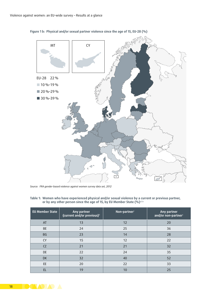

**Figure 1 b: Physical and/or sexual partner violence since the age of 15, EU-28 (%)**

*Source: FRA gender-based violence against women survey data set, 2012*

| <b>EU Member State</b> | Any partner<br>(current and/or previous) <sup>b</sup> | Non-partner® | Any partner<br>and/or non-partner |
|------------------------|-------------------------------------------------------|--------------|-----------------------------------|
| AT                     | 13                                                    | 12           | 20                                |
| <b>BE</b>              | 24                                                    | 25           | 36                                |
| <b>BG</b>              | 23                                                    | 14           | 28                                |
| <b>CY</b>              | 15                                                    | 12           | 22                                |
| CZ                     | 21                                                    | 21           | 32                                |
| DE                     | 22                                                    | 24           | 35                                |
| DK                     | 32                                                    | 40           | 52                                |
| EE                     | 20                                                    | 22           | 33                                |
| EL                     | 19                                                    | 10           | 25                                |

**Table 1: Women who have experienced physical and/or sexual violence by a current or previous partner,**  or by any other person since the age of 15, by EU Member State (%)<sup>a,b,c</sup>

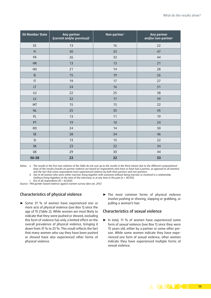| <b>EU Member State</b> | Any partner<br>(current and/or previous) <sup>b</sup> | Non-partner <sup>c</sup> | Any partner<br>and/or non-partner |
|------------------------|-------------------------------------------------------|--------------------------|-----------------------------------|
| ES                     | 13                                                    | 16                       | 22                                |
| F1                     | 30                                                    | 33                       | 47                                |
| <b>FR</b>              | 26                                                    | 33                       | 44                                |
| <b>HR</b>              | 13                                                    | 13                       | 21                                |
| HU                     | 21                                                    | 14                       | 28                                |
| IE                     | 15                                                    | 19                       | 26                                |
| $\mathsf{I}\mathsf{T}$ | 19                                                    | 17                       | 27                                |
| LT                     | 24                                                    | 16                       | 31                                |
| LU                     | 22                                                    | 25                       | 38                                |
| LV                     | 32                                                    | 17                       | 39                                |
| MT                     | 15                                                    | 15                       | 22                                |
| NL                     | 25                                                    | 35                       | 45                                |
| PL                     | 13                                                    | 11                       | 19                                |
| PT                     | 19                                                    | 10                       | 24                                |
| <b>RO</b>              | 24                                                    | 14                       | 30                                |
| SE                     | 28                                                    | 34                       | 46                                |
| SI                     | 13                                                    | 15                       | 22                                |
| SK                     | 23                                                    | 22                       | 34                                |
| <b>UK</b>              | 29                                                    | 30                       | 44                                |
| <b>EU-28</b>           | 22                                                    | 22                       | 33                                |

*Notes: a The results in the first two columns of the Table do not sum up to the results in the third column due to the different computational*  base of the results (results on partner violence are based on respondents who have or have had a partner, as opposed to all women) *and the fact that some respondents have experienced violence by both their partners and non-partners.*

*b Out of all women who were either married, living together with someone without being married, or involved in a relationship (without living together) at the time of the interview, or at any time in the past (n = 40,192). c Out of all respondents (N = 42,002).*

*Source: FRA gender-based violence against women survey data set, 2012*

#### Characteristics of physical violence

- ► Some 31 % of women have experienced one or more acts of *physical* violence (see Box 1) since the age of 15 (Table 2). While women are most likely to indicate that they were pushed or shoved, excluding this form of violence has only a limited effect on the overall prevalence of physical violence, bringing it down from 31 % to 25 %. This result reflects the fact that many women who say they have been pushed or shoved have also experienced other forms of physical violence.
- ► The most common forms of physical violence involve pushing or shoving, slapping or grabbing, or pulling a woman's hair.

#### Characteristics of sexual violence

► In total, 11 % of women have experienced some form of *sexual* violence (see Box 1) since they were 15 years old, either by a partner or some other person. While some women indicate they have experienced one form of sexual violence, other women indicate they have experienced multiple forms of sexual violence.

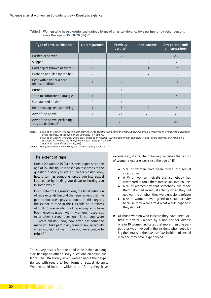**Table 2: Women who have experienced various forms of physical violence by a partner or by other persons since the age of 15, EU-28 (%)**a,b,c

| Type of physical violence                         | Current partner <sup>a</sup> | <b>Previous</b><br>partnerb | Non-partner <sup>c</sup> | Any partner and/<br>or non-partner |
|---------------------------------------------------|------------------------------|-----------------------------|--------------------------|------------------------------------|
| Pushed or shoved                                  | 5                            | 19                          | 13                       | 23                                 |
| Slapped                                           | $\overline{4}$               | 15                          | 8                        | 17                                 |
| Hard object thrown at them                        | $\overline{2}$               | 8                           | $\overline{4}$           | 9                                  |
| Grabbed or pulled by the hair                     | $\overline{2}$               | 10                          | 7                        | 13                                 |
| Beat with a fist or a hard<br>object, or kicked   |                              | 9                           | 5                        | 10                                 |
| Burned                                            | $\Omega$                     | $\mathbf{1}$                | $\Omega$                 |                                    |
| Tried to suffocate or strangle                    |                              | 5                           |                          | 4                                  |
| Cut, stabbed or shot                              | 0                            | 1                           |                          |                                    |
| Beat head against something                       |                              | 5                           | $\mathcal{P}$            | 4                                  |
| Any of the above                                  | 7                            | 24                          | 20                       | 31                                 |
| Any of the above, excluding<br>'pushed or shoved' | 5                            | 20                          | 15                       | 25                                 |

*Notes: a Out of all women who were either married, living together with someone without being married, or involved in a relationship (without living together) at the time of the interview (n = 30,675).*

*b Out of all women who had, in the past, either been married, living together with someone without being married, or involved in a relationship (without living together) at least once (n = 25,870).*

*c Out of all respondents (N = 42,002).*

*Source: FRA gender-based violence against women survey data set, 2012*

#### The extent of rape

One in 20 women (5 %) has been raped since the age of 15. This figure is based on responses to the question: "Since you were 15 years old until now, how often has someone forced you into sexual intercourse by holding you down or hurting you in some way?"

In a number of EU jurisdictions, the legal definition of rape extends beyond the requirement that the perpetrator uses physical force. In this regard, the extent of rape in the EU could be in excess of 5 %. Some incidents of rape may also have been encompassed within women's responses to another survey question: "Since you were 15 years old until now, how often has someone made you take part in any form of sexual activity when you did not want to or you were unable to refuse?"

The survey results for rape need to be looked at alongside findings to other survey questions on sexual violence. The FRA survey asked women about their experiences with regard to four forms of sexual violence. Women could indicate which of the forms they have

experienced, if any. The following describes the results of women's experiences since the age of 15:

- ► 5 % of women have been forced into sexual intercourse;
- ► 6 % of women indicate that somebody has attempted to force them into sexual intercourse;
- ► 6 % of women say that somebody has made them take part in sexual activity when they did not want to or when they were unable to refuse;
- ► 6 % of women have agreed to sexual activity because they were afraid what would happen if they did not.
- ► Of those women who indicate they have been victims of sexual violence by a non-partner, almost one in 10 women indicates that more than one perpetrator was involved in the incident when describing the details of the *most serious* incident of sexual violence they have experienced.

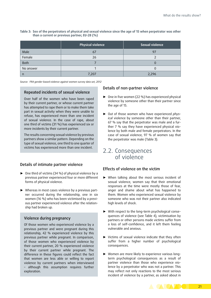|           | <b>Physical violence</b> | <b>Sexual violence</b> |
|-----------|--------------------------|------------------------|
| Male      | 67                       | 97                     |
| Female    | 26                       |                        |
| Both      |                          | ι.                     |
| No answer |                          |                        |
| n         | 7,207                    | 2,296                  |

<span id="page-22-0"></span>**Table 3: Sex of the perpetrators of physical and sexual violence since the age of 15 when perpetrator was other than a current or previous partner, EU-28 (%)**

*Source: FRA gender-based violence against women survey data set, 2012*

#### Repeated incidents of sexual violence

Over half of the women who have been raped by their current partner, or whose current partner has attempted to rape them or to make them take part in sexual activity when they were unable to refuse, has experienced more than one incident of sexual violence. In the case of rape, about one third of victims (31 %) has experienced six or more incidents by their current partner.

The results concerning sexual violence by previous partners show a similar pattern. Depending on the type of sexual violence, one third to one quarter of victims has experienced more than one incident.

#### Details of intimate partner violence

- ► One third of victims (34 %) of physical violence by a previous partner experienced four or more different forms of physical violence.
- ► Whereas in most cases violence by a previous partner occurred during the relationship, one in six women (16 %) who has been victimised by a previous partner experienced violence after the relationship had broken up.

#### Violence during pregnancy

Of those women who experienced violence by a previous partner and were pregnant during this relationship, 42 % experienced violence by this previous partner while pregnant. In comparison, of those women who experienced violence by their current partner, 20 % experienced violence by their current partner while pregnant. The difference in these figures could reflect the fact that women are less able or willing to report violence by current partners when interviewed – although this assumption requires further exploration.

#### Details of non-partner violence

- ► One in five women (22 %) has experienced physical violence by someone other than their partner since the age of 15.
- ► Out of those women who have experienced *physical* violence by someone other than their partner, 67 % say that the perpetrator was male and a further 7 % say they have experienced physical violence by both male and female perpetrators. In the case of sexual violence, 97 % of women say that the perpetrator was male (Table 3).

## 2.2. Consequences of violence

#### Effects of violence on the victim

- ► When talking about the most serious incident of sexual violence, women say that their emotional responses at the time were mostly those of fear, anger and shame about what has happened to them. Women who experienced sexual violence by someone who was not their partner also indicated high levels of shock.
- ► With respect to the long-term psychological consequences of violence (see Table 4), victimisation by partners or other persons made victims suffer from a loss of self-confidence, and it left them feeling vulnerable and anxious.
- ► Victims of sexual violence indicate that they often suffer from a higher number of psychological consequences.
- ► Women are more likely to experience various longterm psychological consequences as a result of partner violence than those who experience violence by a perpetrator who was not a partner. This may reflect not only reactions to the most serious incident of violence by a partner, as asked about in

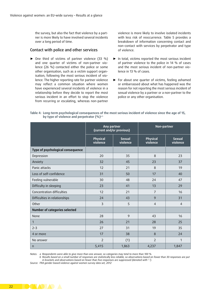the survey, but also the fact that violence by a partner is more likely to have involved several incidents over a long period of time.

#### Contact with police and other services

► One third of victims of partner violence (33 %) and one quarter of victims of non-partner violence (26 %) contacted either the police or some other organisation, such as a victim support organisation, following the most serious incident of violence. The higher reporting rate for partner violence may reflect a common situation where women have experienced several incidents of violence in a relationship before they decide to report the most serious incident in an effort to stop the violence from recurring or escalating, whereas non-partner

violence is more likely to involve isolated incidents with less risk of reoccurrence. Table 5 provides a breakdown of information concerning contact and non-contact with services by perpetrator and type of violence.

- ► In total, victims reported the most serious incident of partner violence to the police in 14 % of cases and the most serious incident of non-partner violence in 13 % of cases.
- ► For about one quarter of victims, feeling ashamed or embarrassed about what has happened was the reason for not reporting the most serious incident of sexual violence by a partner or a non-partner to the police or any other organisation.

|                                   | Any partner<br>(current and/or previous) |                           | Non-partner          |                           |
|-----------------------------------|------------------------------------------|---------------------------|----------------------|---------------------------|
|                                   | Physical<br>violence                     | <b>Sexual</b><br>violence | Physical<br>violence | <b>Sexual</b><br>violence |
| Type of psychological consequence |                                          |                           |                      |                           |
| Depression                        | 20                                       | 35                        | 8                    | 23                        |
| Anxiety                           | 32                                       | 45                        | 23                   | 37                        |
| Panic attacks                     | 12                                       | 21                        | 8                    | 19                        |
| Loss of self-confidence           | 31                                       | 50                        | 17                   | 40                        |
| Feeling vulnerable                | 30                                       | 48                        | 24                   | 47                        |
| Difficulty in sleeping            | 23                                       | 41                        | 13                   | 29                        |
| Concentration difficulties        | 12                                       | 21                        | $\overline{7}$       | 16                        |
| Difficulties in relationships     | 24                                       | 43                        | 9                    | 31                        |
| Other                             | 3                                        | 5                         | $\overline{4}$       | $\overline{4}$            |
| Number of categories selected     |                                          |                           |                      |                           |
| None                              | 28                                       | 9                         | 43                   | 16                        |
| $\mathbf{1}$                      | 26                                       | 21                        | 28                   | 25                        |
| $2 - 3$                           | 27                                       | 31                        | 19                   | 35                        |
| 4 or more                         | 17                                       | 38                        | 8                    | 24                        |
| No answer                         | 2                                        | (1)                       | $\overline{2}$       | $\mathbf{1}$              |
| $\mathsf{n}$                      | 5,415                                    | 1,863                     | 4,237                | 1,847                     |

#### **Table 4: Long-term psychological consequences of the most serious incident of violence since the age of 15, by type of violence and perpetrator (%)**a,b

*Notes: a Respondents were able to give more than one answer, so categories may total to more than 100 %.*

*b Results based on a small number of responses are statistically less reliable, so observations based on fewer than 30 responses are put in brackets and observations based on fewer than five responses are suppressed (denoted with '-').*

*Source: FRA gender-based violence against women survey data set, 2012*

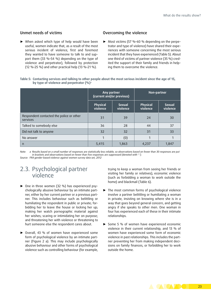#### <span id="page-24-0"></span>Unmet needs of victims

► When asked which type of help would have been useful, women indicate that, as a result of the most serious incident of violence, first and foremost they wanted to have someone to talk to and support them (33 %–54 %) depending on the type of violence and perpetrator), followed by protection (12 %–25 %) and other practical help (13 %–21 %).

#### Overcoming the violence

► Most victims (57 %–60 % depending on the perpetrator and type of violence) have shared their experiences with someone concerning the most serious incident that they have experienced (Table 5). About one third of victims of partner violence (35 %) credited the support of their family and friends in helping them to overcome the violence.

| Table 5: Contacting services and talking to other people about the most serious incident since the age of 15, |
|---------------------------------------------------------------------------------------------------------------|
| by type of violence and perpetrator $(\% )$ <sup>3</sup>                                                      |

|                                                      | Any partner<br>(current and/or previous) |                           | Non-partner          |                           |  |
|------------------------------------------------------|------------------------------------------|---------------------------|----------------------|---------------------------|--|
|                                                      | Physical<br>violence                     | <b>Sexual</b><br>violence | Physical<br>violence | <b>Sexual</b><br>violence |  |
| Respondent contacted the police or other<br>services | 31                                       | 39                        | 24                   | 30                        |  |
| Talked to somebody else                              | 36                                       | 28                        | 44                   | 37                        |  |
| Did not talk to anyone                               | 32                                       | 32                        | 31                   | 33                        |  |
| No answer                                            | 1                                        | (0)                       |                      |                           |  |
| n                                                    | 5,415                                    | 1,863                     | 4,237                | 1,847                     |  |

*Note: a Results based on a small number of responses are statistically less reliable, so observations based on fewer than 30 responses are put in brackets and observations based on fewer than five responses are suppressed (denoted with '-'). Source: FRA gender-based violence against women survey data set, 2012*

## 2.3. Psychological partner violence

- ► One in three women (32 %) has experienced psychologically abusive behaviour by an intimate partner, either by her current partner or a previous partner. This includes behaviour such as belittling or humiliating the respondent in public or private; forbidding her to leave the house or locking her up; making her watch pornographic material against her wishes; scaring or intimidating her on purpose; and threatening her with violence or threatening to hurt someone else the respondent cares about.
- ► Overall, 43 % of women have experienced some form of psychological violence by an intimate partner (Figure 2 a). This may include psychologically abusive behaviour and other forms of psychological violence such as controlling behaviour (for example,

trying to keep a woman from seeing her friends or visiting her family or relatives), economic violence (such as forbidding a woman to work outside the home) and blackmail (Table 6).

- ► The most common forms of psychological violence involve a partner belittling or humiliating a woman in private, insisting on knowing where she is in a way that goes beyond general concern, and getting angry if she speaks to other men. One woman in four has experienced each of these in their intimate relationships.
- ► Some 5 % of women have experienced economic violence in their current relationship, and 13 % of women have experienced some form of economic violence in past relationships. This includes the partner preventing her from making independent decisions on family finances, or forbidding her to work outside the home.

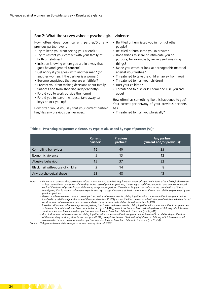#### Box 2: What the survey asked – psychological violence

How often does your current partner/Did any previous partner ever...

- Try to keep you from seeing your friends?
- Try to restrict your contact with your family of birth or relatives?
- Insist on knowing where you are in a way that goes beyond general concern?
- Get angry if you speak with another man? (or another woman, if the partner is a woman)
- Become suspicious that you are unfaithful?
- Prevent you from making decisions about family finances and from shopping independently?
- Forbid you to work outside the home?
- Forbid you to leave the house, take away car keys or lock you up?

How often would you say that your current partner has/Has any previous partner ever...

- Belittled or humiliated you in front of other people?
- Belittled or humiliated you in private?
- Done things to scare or intimidate you on purpose, for example by yelling and smashing things?
- Made you watch or look at pornographic material against your wishes?
- Threatened to take the children away from you?
- Threatened to hurt your children?
- Hurt your children?
- Threatened to hurt or kill someone else you care about

How often has something like this happened to you? Your current partner/any of your previous partners has...

• Threatened to hurt you physically?

#### **Table 6: Psychological partner violence, by type of abuse and by type of partner (%)**<sup>a</sup>

|                                  | Current<br>partnerb | <b>Previous</b><br>partner <sup>c</sup> | Any partner<br>(current and/or previous) <sup>d</sup> |
|----------------------------------|---------------------|-----------------------------------------|-------------------------------------------------------|
| Controlling behaviour            | 16                  | 40                                      | 35                                                    |
| Economic violence                |                     | 13                                      | 12                                                    |
| Abusive behaviour                | 15                  | 37                                      | 32                                                    |
| Blackmail with/abuse of children |                     | 14                                      | 8                                                     |
| Any psychological abuse          | 23                  | 48                                      | 43                                                    |

*Notes: a For current partners, the percentage refers to women who say that they have experienced a particular form of psychological violence at least sometimes during the relationship. In the case of previous partners, the survey asked if respondents have ever experienced each of the forms of psychological violence by any previous partner. The column 'Any partner' refers to the combination of these two figures, that is, women who have experienced psychological violence at least sometimes in the current relationship or ever by any previous partners.*

*b Based on all women who have a current partner, that is who were married, living together with someone without being married, or*  involved in a relationship at the time of the interview (n = 30,675), except the item on blackmail with/abuse of children, which is based *on all women who have a current partner and who have or have had children in their care (n = 24,770).*

*c Based on all women who have a previous partner, that is who had been married, living together with someone without being married, or involved in a relationship at least once in the past (n = 25,870), except the item on blackmail with/abuse of children, which is based on all women who have a previous partner and who have or have had children in their care (n = 14,469).*

*d Out of all women who were married, living together with someone without being married, or involved in a relationship at the time of the interview, or at any time in the past (n = 40,192), except the item on blackmail with/abuse of children, which is based on all women who have a current or previous partner and who have or have had children in their care (n = 31,418).*

*Source: FRA gender-based violence against women survey data set, 2012*

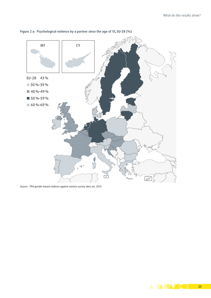

#### **Figure 2 a: Psychological violence by a partner since the age of 15, EU-28 (%)**

*Source: FRA gender-based violence against women survey data set, 2012*

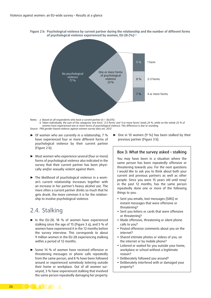<span id="page-27-0"></span>**Figure 2 b: Psychological violence by current partner during the relationship and the number of different forms of psychological violence experienced by women, EU-28 (%)**a,b



*Notes: a Based on all respondents who have a current partner (n = 30,675). b Taken individually, the sum of the categories 'one form', '2–3 forms' and '4 or more forms' totals 24 %, while on the whole 23 % of women have experienced one or more forms of psychological violence. This difference is due to rounding. Source: FRA gender-based violence against women survey data set, 2012*

- ► Of women who are currently in a relationship, 7 % have experienced four or more different forms of psychological violence by their current partner (Figure 2 b).
- ► Most women who experience several (four or more) forms of psychological violence also indicated in the survey that their current partner has been physically and/or sexually violent against them.
- ► The likelihood of psychological violence in a woman's current relationship increases together with an increase in her partner's heavy alcohol use. The more often a current partner drinks so much that he gets drunk, the more common it is for the relationship to involve psychological violence.

## 2.4. Stalking

- ► In the EU-28, 18 % of women have experienced stalking since the age of 15 (Figure 3 a), and 5 % of women have experienced it in the 12 months before the survey interview. This corresponds to about 9 million women in the EU-28 experiencing stalking within a period of 12 months.
- ► Some 14 % of women have received offensive or threatening messages or phone calls repeatedly from the same person, and 8 % have been followed around or experienced somebody loitering outside their home or workplace. Out of all women surveyed, 3 % have experienced stalking that involved the same person repeatedly damaging her property.

► One in 10 women (9 %) has been stalked by their previous partner (Figure 3 b).

#### Box 3: What the survey asked – stalking

You may have been in a situation where the same person has been repeatedly offensive or threatening towards you. For the next questions I would like to ask you to think about both your current and previous partners as well as other people. Since you were 15 years old until now/ in the past 12 months, has the same person repeatedly done one or more of the following things to you:

- Sent you emails, text messages (SMS) or instant messages that were offensive or threatening?
- Sent you letters or cards that were offensive or threatening?
- Made offensive, threatening or silent phone calls to you?
- Posted offensive comments about you on the internet?
- Shared intimate photos or videos of you, on the internet or by mobile phone?
- Loitered or waited for you outside your home, workplace or school without a legitimate reason?
- Deliberately followed you around?
- Deliberately interfered with or damaged your property?

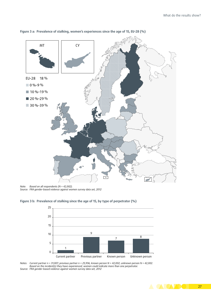

**Figure 3 a: Prevalence of stalking, women's experiences since the age of 15, EU-28 (%)**

*Note: Based on all respondents (N = 42,002). Source: FRA gender-based violence against women survey data set, 2012*





*Notes: Current partner n = 31,007; previous partner n = 25,936; known person N = 42,002; unknown person N = 42,002. Based on the incident(s) they have experienced, women could indicate more than one perpetrator. Source: FRA gender-based violence against women survey data set, 2012*

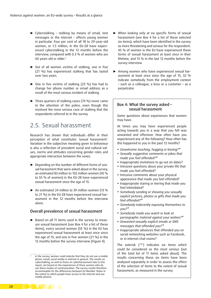- <span id="page-29-0"></span>► Cyberstalking – stalking by means of email, text messages or the internet – affects young women in particular. Four per cent of all 18 to 29-year-old women, or 1.5 million, in the EU-28 have experienced cyberstalking in the 12 months before the interview, compared with 0.3 % of women who are 60 years old or older.2
- ► Out of all women victims of stalking, one in five (21 %) has experienced stalking that has lasted over two years.
- ► One in five victims of stalking (23 %) has had to change her phone number or email address as a result of the most serious incident of stalking.
- ► Three quarters of stalking cases (74 %) never came to the attention of the police, even though this involved the most serious case of stalking that the respondents referred to in the survey.

## 2.5. Sexual harassment

Research has shown that individuals differ in their perception of what constitutes 'sexual harassment'. Variation in the subjective meaning given to behaviour is also a reflection of prevalent social and cultural values, norms and attitudes concerning gender roles and appropriate interaction between the sexes.

- ► Depending on the number of different forms of sexual harassment that were asked about in the survey, an estimated 83 million to 102 million women (45 % to 55 % of women) in the EU-28 have experienced sexual harassment since the age of 15.
- ► An estimated 24 million to 39 million women (13 % to 21 %) in the EU-28 have experienced sexual harassment in the 12 months before the interview alone.

#### Overall prevalence of sexual harassment

► Based on *all* 11 items used in the survey to measure sexual harassment (see Box 4 for a list of these items), every second woman (55 %) in the EU has experienced sexual harassment at least once since the age of 15, and one in five women (21 %) in the 12 months before the survey interview (Figure 4).

- ► When looking *only* at six specific forms of sexual harassment (see Box 4 for a list of these selected six items), which have been identified in the survey as more threatening and serious for the respondent: 45 % of women in the EU have experienced these forms of sexual harassment at least once in their lifetime, and 13 % in the last 12 months before the survey interview.
- ► Among women who have experienced sexual harassment at least once since the age of 15, 32 % indicate somebody from the employment context – such as a colleague, a boss or a customer – as a perpetrator.

#### Box 4: What the survey asked – sexual harassment

Some questions about experiences that women may have.

At times you may have experienced people acting towards you in a way that you felt was unwanted and offensive. How often have you experienced any of the following? How often has this happened to you in the past 12 months?

- *Unwelcome touching, hugging or kissing?\**
- *Sexually suggestive comments or jokes that made you feel offended?\**
- Inappropriate invitations to go out on dates?
- Intrusive questions about your private life that made you feel offended?
- Intrusive comments about your physical appearance that made you feel offended?
- Inappropriate staring or leering that made you feel intimidated?
- *Somebody sending or showing you sexually explicit pictures, photos or gifts that made you feel offended?\**
- *Somebody indecently exposing themselves to you?\**
- *Somebody made you watch or look at pornographic material against your wishes?\**
- *Unwanted sexually explicit emails or SMS messages that offended you?\**
- Inappropriate advances that offended you on social networking websites such as Facebook, or in internet chat rooms?

The asterisk ('\*') indicates *six items which could be considered as the most serious* (out of the total list of 11 items asked about). The results concerning these six items have been analysed separately in order to assess the effect of the selection of items to the extent of sexual harassment, as measured in the survey.



In the survey, women could indicate that they do not use a mobile phone, email, social media or internet in general. The results on cyberstalking, as well as those on cyberharassment later in this report, are based on the experiences of those women who do use these modes of communication. The survey results therefore accommodate for the differences between EU Member States in the extent to which people have access to the internet and use mobile phones.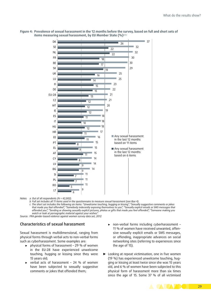

**Figure 4: Prevalence of sexual harassment in the 12 months before the survey, based on full and short sets of**  items measuring sexual harassment, by EU Member State (%)<sup>a,b,c</sup>

*Notes: a Out of all respondents (N = 42,002).*

*b Full set includes all 11 items used in the questionnaire to measure sexual harassment (see Box 4).*

*c The short set includes the following six items: "Unwelcome touching, hugging or kissing", "Sexually suggestive comments or jokes that made you feel offended", "Somebody indecently exposing themselves to you", "Sexually explicit emails or SMS messages that offended you", "Sending or showing sexually explicit pictures, photos or gifts that made you feel offended", "Someone making you watch or look at pornographic material against your wishes".*

*Source: FRA gender-based violence against women survey data set, 2012*

#### Characteristics of sexual harassment

Sexual harassment is multidimensional, ranging from physical forms through verbal acts to non-verbal forms such as cyberharassment. Some examples are:

- ► physical forms of harassment 29 % of women in the EU-28 have experienced unwelcome touching, hugging or kissing since they were 15 years old;
- verbal acts of harassment 24  $%$  of women have been subjected to sexually suggestive comments or jokes that offended them;
- ► non-verbal forms including cyberharassment 11 % of women have received unwanted, offensive sexually explicit emails or SMS messages, or offending, inappropriate advances on social networking sites (referring to experiences since the age of 15).
- ► Looking at repeat victimisation, one in five women (19 %) has experienced unwelcome touching, hugging or kissing at least twice since she was 15 years old, and 6 % of women have been subjected to this physical form of harassment more than six times since the age of 15. Some 37 % of all victimised

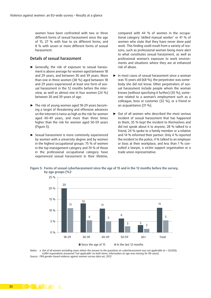women have been confronted with two or three different forms of sexual harassment since the age of 15, 27 % with four to six different forms, and 8 % with seven or more different forms of sexual harassment.

#### Details of sexual harassment

- ► Generally, the risk of exposure to sexual harassment is above average for women aged between 18 and 29 years, and between 30 and 39 years. More than one in three women (38 %) aged between 18 and 29 years experienced at least one form of sexual harassment in the 12 months before the interview, as well as almost one in four women (24 %) between 30 and 39 years of age.
- ► The risk of young women aged 18–29 years becoming a target of threatening and offensive advances on the internet is twice as high as the risk for women aged 40–49 years, and more than three times higher than the risk for women aged 50–59 years (Figure 5).
- ► Sexual harassment is more commonly experienced by women with a university degree and by women in the highest occupational groups: 75 % of women in the top management category and 74 % of those in the professional occupational category have experienced sexual harassment in their lifetime,

compared with 44 % of women in the occupational category 'skilled manual worker' or 41 % of women who state that they have never done paid work. This finding could result from a variety of reasons, such as professional women being more alert to what constitutes sexual harassment, as well as professional women's exposure to work environments and situations where they are at enhanced risk of abuse.

- ► In most cases of sexual harassment since a woman was 15 years old (68 %), the perpetrator was somebody she did not know. Other perpetrators of sexual harassment include people whom the woman knows (without specifying it further) (35 %), someone related to a woman's employment such as a colleague, boss or customer (32 %), or a friend or an acquaintance (31 %).
- ► Out of all women who described the most serious incident of sexual harassment that has happened to them, 35 % kept the incident to themselves and did not speak about it to anyone, 28 % talked to a friend, 24 % spoke to a family member or a relative and 14 % informed their partner. Only 4 % reported the incident to the police, 4 % talked to an employer or boss at their workplace, and less than 1 % consulted a lawyer, a victim support organisation or a trade union representative.



**Figure 5: Forms of sexual cyberharassment since the age of 15 and in the 12 months before the survey, by age groups (%)**<sup>a</sup>

*Notes: a Out of all women excluding cases where the answer to the questions on cyberharassment was not applicable (n = 35,820); 6,084 respondents answered ''not applicable' on both items; information on age was missing for 98 cases). Source: FRA gender-based violence against women survey data set, 2012*

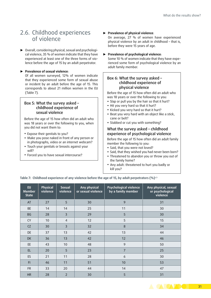## <span id="page-32-0"></span>2.6. Childhood experiences of violence

► Overall, considering physical, sexual and psychological violence, 35 % of women indicate that they have experienced at least one of the three forms of violence before the age of 15 by an adult perpetrator.

#### ► **Prevalence of sexual violence**:

Of all women surveyed, 12% of women indicate that they experienced some form of sexual abuse or incident by an adult before the age of 15. This corresponds to about 21 million women in the EU (Table 7).

#### Box 5: What the survey asked – childhood experience of sexual violence

Before the age of 15 how often did an adult who was 18 years or over the following to you, when you did not want them to:

- Expose their genitals to you?
- Make you pose naked in front of any person or in photographs, video or an internet webcam?
- Touch your genitals or breasts against your will?
- Forced you to have sexual intercourse?

#### ► **Prevalence of physical violence**:

On average, 27 % of women have experienced physical violence by an adult in childhood – that is, before they were 15 years of age.

► **Prevalence of psychological violence**:

Some 10 % of women indicate that they have experienced some form of psychological violence by an adult family member.

#### Box 6: What the survey asked – childhood experience of physical violence

Before the age of 15 how often did an adult who was 18 years or over the following to you:

- Slap or pull you by the hair so that it hurt?
- Hit you very hard so that it hurt?
- Kicked you very hard so that it hurt?
- Beat you very hard with an object like a stick, cane or belt?
- Stabbed or cut you with something?

#### What the survey asked – childhood experience of psychological violence

Before the age of 15 how often did an adult family member the following to you:

- Said, that you were not loved?
- Said, that they wished you had never been born? • Threatened to abandon you or throw you out of the family home?
- Any adult: threatened to hurt you badly or kill you?

**Table 7: Childhood experience of any violence before the age of 15, by adult perpetrators (%)**a,b

| EU<br><b>Member</b><br><b>State</b> | <b>Physical</b><br>violence | <b>Sexual</b><br>violence | Any physical<br>or sexual violence | <b>Psychological violence</b><br>by a family member | Any physical, sexual<br>or psychological<br>violence |
|-------------------------------------|-----------------------------|---------------------------|------------------------------------|-----------------------------------------------------|------------------------------------------------------|
| AT                                  | 27                          | 5                         | 30                                 | 9                                                   | 31                                                   |
| <b>BE</b>                           | 14                          | 14                        | 25                                 | 11                                                  | 30                                                   |
| <b>BG</b>                           | 28                          | $\overline{3}$            | 29                                 | 5                                                   | 30                                                   |
| <b>CY</b>                           | 10                          | $\overline{4}$            | 12                                 | 5                                                   | 15                                                   |
| CZ                                  | 30                          | $\overline{3}$            | 32                                 | 8                                                   | 34                                                   |
| DE                                  | 37                          | 13                        | 42                                 | 13                                                  | 44                                                   |
| <b>DK</b>                           | 36                          | 13                        | 42                                 | 12                                                  | 46                                                   |
| EE                                  | 43                          | 10                        | 48                                 | 9                                                   | 50                                                   |
| EL.                                 | 20                          | 5                         | 23                                 | $\overline{7}$                                      | 25                                                   |
| ES                                  | 21                          | 11                        | 28                                 | 6                                                   | 30                                                   |
| F1                                  | 46                          | 11                        | 51                                 | 10                                                  | 53                                                   |
| <b>FR</b>                           | 33                          | 20                        | 44                                 | 14                                                  | 47                                                   |
| <b>HR</b>                           | 28                          | $\overline{2}$            | 30                                 | 5                                                   | 31                                                   |

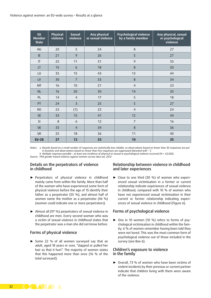| EU<br><b>Member</b><br><b>State</b> | Physical<br>violence | <b>Sexual</b><br>violence | Any physical<br>or sexual violence | <b>Psychological violence</b><br>by a family member | Any physical, sexual<br>or psychological<br>violence |
|-------------------------------------|----------------------|---------------------------|------------------------------------|-----------------------------------------------------|------------------------------------------------------|
| HU                                  | 20                   | 5                         | 24                                 | 8                                                   | 27                                                   |
| IE                                  | 21                   | 9                         | 26                                 | 5                                                   | 27                                                   |
| $\mathsf{I}\mathsf{T}$              | 25                   | 11                        | 31                                 | 9                                                   | 33                                                   |
| LT                                  | 15                   | 6                         | 18                                 | 8                                                   | 20                                                   |
| LU                                  | 35                   | 15                        | 43                                 | 13                                                  | 44                                                   |
| LV                                  | 30                   | $\overline{7}$            | 33                                 | 8                                                   | 34                                                   |
| MT                                  | 16                   | 10                        | 21                                 | $\overline{4}$                                      | 23                                                   |
| <b>NL</b>                           | 16                   | 20                        | 30                                 | 14                                                  | 35                                                   |
| PL                                  | 14                   | $\overline{4}$            | 17                                 | 5                                                   | 18                                                   |
| PT                                  | 24                   | $\overline{3}$            | 25                                 | 5                                                   | 27                                                   |
| <b>RO</b>                           | 23                   | (1)                       | 23                                 | $\overline{4}$                                      | 24                                                   |
| <b>SE</b>                           | 33                   | 15                        | 41                                 | 12                                                  | 44                                                   |
| SI                                  | 8                    | 6                         | 12                                 | $\overline{7}$                                      | 16                                                   |
| <b>SK</b>                           | 33                   | $\overline{4}$            | 34                                 | 8                                                   | 36                                                   |
| UK                                  | 25                   | 18                        | 36                                 | 11                                                  | 40                                                   |
| <b>EU-28</b>                        | 27                   | 12                        | 33                                 | 10                                                  | 35                                                   |

*Notes: a Results based on a small number of responses are statistically less reliable, so observations based on fewer than 30 responses are put in brackets and observations based on fewer than five responses are suppressed (denoted with '-').*

*b Multiple response possible – at least one incidence of physical or sexual or psychological violence occurred (N = 42,002).*

*Source: FRA gender-based violence against women survey data set, 2012*

#### Details on the perpetrators of violence in childhood

- ► Perpetrators of *physical* violence in childhood mainly came from within the family. More than half of the women who have experienced some form of physical violence before the age of 15 identify their father as a perpetrator (55 %), and almost half of women name the mother as a perpetrator (46 %) (women could indicate one or more perpetrators).
- ► Almost all (97 %) perpetrators of sexual violence in childhood are men. Every second woman who was a victim of sexual violence in childhood states that the perpetrator was a man she did not know before.

#### Forms of physical violence

► Some 22 % of all women surveyed say that an adult, aged 18 years or over, "slapped or pulled her hair so that it hurt". The majority of women states that this happened more than once (16 % of the total surveyed).

#### Relationship between violence in childhood and later experiences

► Close to one third (30 %) of women who experienced sexual victimisation in a former or current relationship indicate experiences of sexual violence in childhood, compared with 10 % of women who have not experienced sexual victimisation in their current or former relationship indicating experiences of sexual violence in childhood (Figure 6).

#### Forms of psychological violence

► One in 10 women (10 %) refers to forms of psychological victimisation in childhood within the family; 6 % of women remember having been told they were not loved. This was the most common form of psychological violence out of those included in the survey (see Box 6).

#### Children's exposure to violence in the family

► Overall, 73 % of women who have been victims of violent incidents by their previous or current partner indicate that children living with them were aware of the violence.

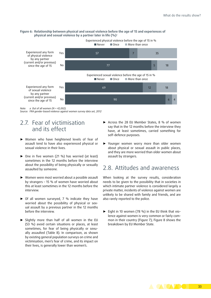#### <span id="page-34-0"></span>**Figure 6: Relationship between physical and sexual violence before the age of 15 and experiences of physical and sexual violence by a partner later in life (%)**<sup>a</sup>



*Note: a Out of all women (N = 42,002). Source: FRA gender-based violence against women survey data set, 2012*

## 2.7. Fear of victimisation and its effect

- ► Women who have heightened levels of fear of assault tend to have also experienced physical or sexual violence in their lives.
- ► One in five women (21 %) has worried (at least) sometimes in the 12 months before the interview about the possibility of being physically or sexually assaulted by someone.
- ► Women were most worried about a possible assault by strangers – 15 % of women have worried about this at least sometimes in the 12 months before the interview.
- ► Of all women surveyed, 7 % indicate they have worried about the possibility of physical or sexual assault by a previous partner in the 12 months before the interview.
- ► Slightly more than half of all women in the EU (53 %) avoid certain situations or places, at least sometimes, for fear of being physically or sexually assaulted (Table 8). In comparison, as shown by existing general population surveys on crime and victimisation, men's fear of crime, and its impact on their lives, is generally lower than women's.
- ► Across the 28 EU Member States, 8 % of women say that in the 12 months before the interview they have, at least sometimes, carried something for self-defence purposes.
- ► Younger women worry more than older women about physical or sexual assault in public places, and they are more worried than older women about assault by strangers.

## 2.8. Attitudes and awareness

When looking at the survey results, consideration needs to be given to the possibility that in societies in which intimate partner violence is considered largely a private matter, incidents of violence against women are unlikely to be shared with family and friends, and are also rarely reported to the police.

► Eight in 10 women (78 %) in the EU think that violence against women is very common or fairly common in their country (Figure 7); Figure 8 shows the breakdown by EU Member State.

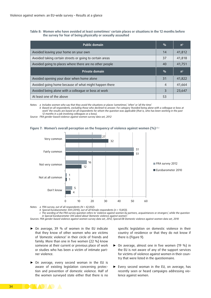#### **Table 8: Women who have avoided at least sometimes**<sup>a</sup>  **certain places or situations in the 12 months before the survey for fear of being physically or sexually assaulted**

| <b>Public domain</b>                                     | $\frac{0}{0}$  | n <sup>b</sup> |
|----------------------------------------------------------|----------------|----------------|
| Avoided leaving your home on your own                    | 14             | 41,812         |
| Avoided taking certain streets or going to certain areas | 37             | 41,818         |
| Avoided going to places where there are no other people  | 40             | 41,751         |
| Private domain                                           | $\frac{0}{0}$  | n <sup>b</sup> |
| Avoided opening your door when home alone                | 31             | 41,822         |
| Avoided going home because of what might happen there    | $\overline{4}$ | 41,664         |
| Avoided being alone with a colleague or boss at work     | 3              | 23,647         |
| At least one of the above                                | 53             |                |

*Notes: a Includes women who say that they avoid the situations or places 'sometimes', 'often' or 'all the time'.*

*b Based on all respondents, excluding those who declined to answer. For category 'Avoided being alone with a colleague or boss at work' the results are based on all respondents for whom the question was applicable (that is, who has been working in the past 12 months in a job involving colleagues or a boss).*

*Source: FRA gender-based violence against women survey data set, 2012*





*Notes: a FRA survey, out of all respondents (N = 42,002).*

*b Special Eurobarometer 344 (2010), out of all female respondents (n = 13,853).*

*c The wording of the FRA survey question refers to 'violence against women by partners, acquaintances or strangers', while the question* 

*in Special Eurobarometer 344 asked about 'domestic violence against women'.*

*Sources: FRA gender-based violence against women survey data set, 2012; Special EB Domestic violence against women data set, 2010*

- ► On average, 39 % of women in the EU indicate that they know of other women who are victims of 'domestic violence' in their circle of friends and family. More than one in five women (22 %) know someone at their current or previous place of work or studies who has been a victim of intimate partner violence.
- ► On average, every second woman in the EU is aware of existing legislation concerning protection and prevention of domestic violence. Half of the women surveyed state either that there is no

specific legislation on domestic violence in their country of residence or that they do not know if there is (Figure 9).

- ► On average, almost one in five women (19 %) in the EU is not aware of any of the support services for victims of violence against women in their country that were listed in the questionnaire.
- ► Every second woman in the EU, on average, has recently seen or heard campaigns addressing violence against women.

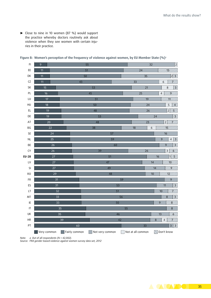► Close to nine in 10 women (87 %) would support the practice whereby doctors routinely ask about violence when they see women with certain injuries in their practice.

| $\mathsf{Fl}$              | $\overline{9}$<br>55 |                 |                 |    | 32<br>$\overline{2}$ |                 |                 |                                     |                                             |  |
|----------------------------|----------------------|-----------------|-----------------|----|----------------------|-----------------|-----------------|-------------------------------------|---------------------------------------------|--|
| EE                         | 11                   |                 | 51              |    | 24                   |                 | 43              |                                     |                                             |  |
| DK                         | 11                   | 50              |                 |    |                      | 35              |                 |                                     | $2\sqrt{3}$                                 |  |
| CZ                         | 11                   | $\overline{43}$ |                 |    | 33                   |                 |                 | $\boldsymbol{6}$                    | <u>X///</u>                                 |  |
| SK                         | 15                   |                 | 53              |    |                      | $\overline{21}$ |                 | $\,8\,$                             | $\cancel{\varepsilon}$                      |  |
| PL                         | 16                   |                 | 45              |    | $\overline{25}$      |                 |                 | $\cancel{\theta}$<br>$\overline{4}$ |                                             |  |
| LU                         | 17                   |                 | 51              |    | 19                   |                 |                 | 44                                  |                                             |  |
| HU                         | 18                   |                 | 50              |    | 24                   |                 |                 | W)<br>5                             |                                             |  |
| $\mathsf{EL}$              | 19                   |                 | 48              |    | 26                   |                 |                 | $\overline{2}$<br>7//               |                                             |  |
| DE                         | 19                   |                 | 53              |    | 24                   |                 |                 |                                     | 8/                                          |  |
| AT                         | 20                   |                 | 48              |    |                      | 23              |                 | $\overline{2}$                      | 2/1/2                                       |  |
| BG                         | 22                   |                 | 38              |    | 18                   |                 | $\epsilon$      | 15                                  |                                             |  |
| SE                         | 24                   |                 |                 | 57 |                      |                 |                 | 16                                  |                                             |  |
| NL                         | 25                   |                 |                 | 59 |                      |                 |                 | $\overline{9}$                      | $\mathscr{S}_\mathscr{A}$<br>$\overline{4}$ |  |
| BE                         | 26                   |                 |                 | 60 |                      |                 |                 | 9                                   | 3/                                          |  |
| CY                         | 26                   |                 | 39              |    |                      | 26              |                 | $\overline{\mathbf{3}}$             | $\mathscr{A}/\mathscr{I}$                   |  |
| <b>EU-28</b>               | 27                   |                 | 51              |    |                      |                 | $\overline{16}$ |                                     | $\mathsf{N}$<br>14/                         |  |
| LV                         | 27                   |                 | 47              |    |                      |                 | 14              |                                     | $\mathfrak{A}$                              |  |
| SI                         | 27                   |                 | 49              |    |                      |                 | 14              |                                     | ७                                           |  |
| RO                         | 29                   |                 |                 | 48 |                      |                 | 10              |                                     | 43                                          |  |
| ${\sf FR}$                 | 31                   |                 |                 | 59 |                      |                 |                 |                                     | 9                                           |  |
| ES                         | 31                   |                 |                 | 53 |                      |                 |                 | 11                                  | 81                                          |  |
| $\ensuremath{\mathsf{LT}}$ | 32                   |                 |                 | 51 |                      |                 |                 | 10                                  | X//.                                        |  |
| MT                         | $\overline{33}$      |                 | 56              |    |                      |                 |                 | $\,8\,$                             | $\widetilde{\mathscr{Z}}_{\text{c}}$        |  |
| IE                         | 33                   |                 |                 | 50 |                      |                 |                 | 9                                   | 8/                                          |  |
| $\mathsf{I}\mathsf{T}$     | 35                   |                 | 55              |    |                      |                 |                 |                                     | $\,8\,$                                     |  |
| UK                         |                      | $\overline{35}$ |                 | 46 |                      |                 |                 | 13                                  | $\mathscr{G}/\mathscr{G}$                   |  |
| HR                         |                      | 39              |                 | 42 |                      |                 | $\,8\,$         | $\overline{4}$                      | X///                                        |  |
| PT                         |                      | 60              |                 |    |                      | 33              |                 |                                     | $3^{3}$                                     |  |
|                            | Very common          | Fairly common   | Not very common |    | Not at all common    |                 |                 | Don't know                          |                                             |  |

Figure 8: Women's perception of the frequency of violence against women, by EU Member State (%)<sup>a</sup>

*Note: a Out of all respondents (N = 42,002).*

*Source: FRA gender-based violence against women survey data set, 2012*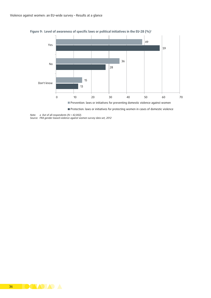

**Figure 9: Level of awareness of specific laws or political initiatives in the EU-28 (%)**<sup>a</sup>

*Note: a Out of all respondents (N = 42,002).*

*Source: FRA gender-based violence against women survey data set, 2012*

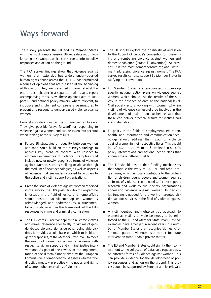## <span id="page-38-0"></span>Ways forward

The survey presents the EU and its Member States with the most comprehensive EU-wide dataset on violence against women, which can serve to inform policy responses and action on the ground.

The FRA survey findings show that violence against women is an extensive but widely under-reported human rights abuse across the EU. FRA has formulated a series of opinions that are outlined at the beginning of this report. They are presented in more detail at the end of each chapter in a separate main results report accompanying the survey. These opinions aim to support EU and national policy makers, where relevant, to introduce and implement comprehensive measures to prevent and respond to gender-based violence against women.

General considerations can be summarised as follows. They give possible 'ways forward' for responding to violence against women and can be taken into account when looking at the survey results.

- Future EU strategies on equality between women and men could build on the survey's findings to address key areas of concern with respect to women's experiences of violence. Examples could include new or newly recognised forms of violence against women, such as stalking or abuse through the medium of new technologies, as well as aspects of violence that are under-reported by women to the police and victim support organisations.
- Given the scale of violence against women reported in the survey, the EU's post-Stockholm Programme landscape in the field of justice and home affairs should ensure that violence against women is acknowledged and addressed as a fundamental rights abuse within the framework of the EU's responses to crime and criminal victimisation.
- The EU Victims' Directive applies to all crime victims and makes reference specifically to victims of gender-based violence alongside other vulnerable victims. It provides a solid base on which to build targeted responses, at the Member State level, to meet the needs of women as victims of violence with respect to victim support and criminal justice interventions. As part of the review of the implementation of the directive undertaken by the European Commission, a component could assess whether the directive meets – in practice – the needs and rights of women who are victims of violence.
- The EU should explore the possibility of accession to the Council of Europe's Convention on preventing and combating violence against women and domestic violence (Istanbul Convention). At present, it is the most comprehensive regional instrument addressing violence against women. The FRA survey results can also support EU Member States in ratifying the convention.
- EU Member States are encouraged to develop specific national action plans on violence against women, which should use the results of the survey in the absence of data at the national level. Civil society actors working with women who are victims of violence can usefully be involved in the development of action plans to help ensure that these can deliver practical results for victims and are sustainable.
- EU policy in the fields of employment, education, health, and information and communication technology should address the impact of violence against women in their respective fields. This should be reflected at the Member State level in specific policy interventions and national action plans that address these different fields.
- The EU should ensure that funding mechanisms that continue the work of DAPHNE and other programmes, which variously contribute to the protection of children, young people and women against all forms of violence, can be used to further support research and work by civil society organisations addressing violence against women. In particular, funding is needed for the work of targeted victim support services in the field of violence against women.
- A victim-centred and rights-centred approach to women as victims of violence needs to be reinforced at the EU and Member State level. Positive examples have emerged in recent years in a number of Member States that recognise 'domestic' or 'intimate partner' violence as a matter for state intervention rather than a private matter.
- The EU and Member States could signify their commitment to the collection of data, on a regular basis, on different forms of violence against women. This can provide evidence for the development of policy responses and action on the ground. This process could be supported by Eurostat and its relevant

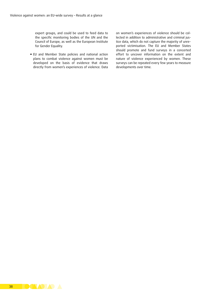expert groups, and could be used to feed data to the specific monitoring bodies of the UN and the Council of Europe, as well as the European Institute for Gender Equality.

**EU** and Member State policies and national action plans to combat violence against women must be developed on the basis of evidence that draws directly from women's experiences of violence. Data on women's experiences of violence should be collected in addition to administrative and criminal justice data, which do not capture the majority of unreported victimisation. The EU and Member States should promote and fund surveys in a concerted effort to uncover information on the extent and nature of violence experienced by women. These surveys can be repeated every few years to measure developments over time.

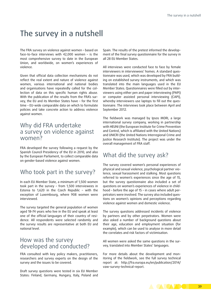## <span id="page-40-0"></span>The survey in a nutshell

The FRA survey on violence against women – based on face-to-face interviews with 42,000 women – is the most comprehensive survey to date in the European Union, and worldwide, on women's experiences of violence.

Given that official data collection mechanisms do not reflect the real extent and nature of violence against women, various international and national bodies and organisations have repeatedly called for the collection of data on this specific human rights abuse. With the publication of the results from the FRA's survey, the EU and its Member States have – for the first time – EU-wide comparable data on which to formulate policies and take concrete action to address violence against women.

## Why did FRA undertake a survey on violence against women?

FRA developed the survey following a request by the Spanish Council Presidency of the EU in 2010, and also by the European Parliament, to collect comparable data on gender-based violence against women.

## Who took part in the survey?

In each EU Member State, a minimum of 1,500 women took part in the survey – from 1,500 interviewees in Estonia to 1,620 in the Czech Republic – with the exception of Luxembourg, where 908 women were interviewed.

The survey targeted the general population of women aged 18–74 years who live in the EU and speak at least one of the official languages of their country of residence. All respondents were selected randomly and the survey results are representative at both EU and national level.

### How was the survey developed and conducted?

FRA consulted with key policy makers, practitioners, researchers and survey experts on the design of the survey and the issues to be covered.

Draft survey questions were tested in six EU Member States: Finland, Germany, Hungary, Italy, Poland and Spain. The results of the pretest informed the development of the final survey questionnaire for the survey in all 28 EU Member States.

All interviews were conducted face to face by female interviewers in interviewees' homes. A standard questionnaire was used, which was developed by FRA building on established survey instruments, and which was translated into the main languages used in the EU Member States. Questionnaires were filled out by interviewers using either pen and paper interviewing (PAPI) or computer assisted personal interviewing (CAPI), whereby interviewers use laptops to fill out the questionnaire. The interviews took place between April and September 2012.

The fieldwork was managed by Ipsos MORI, a large international survey company, working in partnership with HEUNI (the European Institute for Crime Prevention and Control, which is affiliated with the United Nations) and UNICRI (the United Nations Interregional Crime and Justice Research Institute). The project was under the overall management of FRA staff.

## What did the survey ask?

The survey covered women's personal experiences of physical and sexual violence, psychological partner violence, sexual harassment and stalking. Most questions referred to women's experiences since the age of 15, but the survey questionnaire also included a set of questions on women's experiences of violence in childhood – before the age of 15 – in cases where adult perpetrators were involved. The survey also included questions on women's opinions and perceptions regarding violence against women and domestic violence.

The survey questions addressed incidents of violence by partners and by other perpetrators. Women were also asked a number of background questions about their age, education and employment situation (for example), which can be used to analyse in more detail the correlates and risk factors of victimisation.

All women were asked the same questions in the survey, translated into Member States' languages.

For more details about the development and monitoring of the fieldwork, see the full survey technical report at: [http://fra.europa.eu/en/publication/2014/](http://fra.europa.eu/en/publication/2014/vaw-survey-technical-report) [vaw-survey-technical-report](http://fra.europa.eu/en/publication/2014/vaw-survey-technical-report).

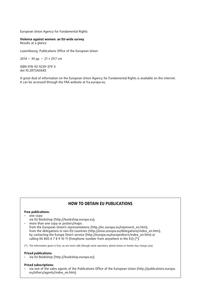European Union Agency for Fundamental Rights

**Violence against women: an EU-wide survey** Results at a glance

Luxembourg: Publications Office of the European Union

 $2014 - 39$  pp.  $- 21 \times 29.7$  cm

ISBN 978-92-9239-379-3 doi:10.2811/60683

A great deal of information on the European Union Agency for Fundamental Rights is available on the internet. It can be accessed through the FRA website at<fra.europa.eu>.

#### **HOW TO OBTAIN EU PUBLICATIONS**

#### **Free publications:**

#### • one copy:

via EU Bookshop ([http://bookshop.europa.eu\)](http://bookshop.europa.eu);

• more than one copy or posters/maps: from the European Union's representations ([http://ec.europa.eu/represent\\_en.htm\)](http://ec.europa.eu/represent_en.htm); from the delegations in non-EU countries ([http://eeas.europa.eu/delegations/index\\_en.htm](http://eeas.europa.eu/delegations/index_en.htm)); by contacting the Europe Direct service [\(http://europa.eu/europedirect/index\\_en.htm\)](http://europa.eu/europedirect/index_en.htm) or calling 00 800 6 7 8 9 10 11 (freephone number from anywhere in the EU)  $(*)$ .

(\*) The information given is free, as are most calls (though some operators, phone boxes or hotels may charge you).

#### **Priced publications:**

• via EU Bookshop ([http://bookshop.europa.eu\)](http://bookshop.europa.eu).

#### **Priced subscriptions:**

• via one of the sales agents of the Publications Office of the European Union ([http://publications.europa.](http://publications.europa.eu/others/agents/index_en.htm) [eu/others/agents/index\\_en.htm](http://publications.europa.eu/others/agents/index_en.htm)).